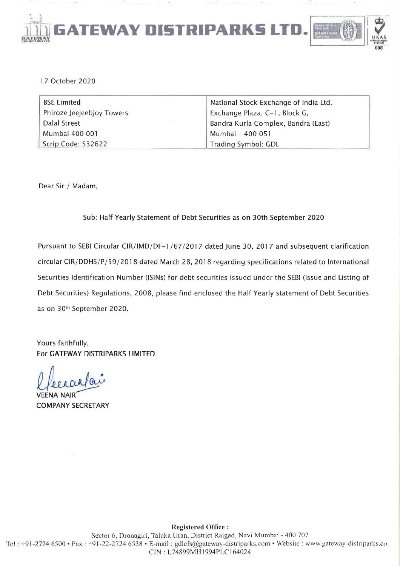

17 October 2020

| <b>BSE Limited</b>        | National Stock Exchange of India Ltd. |
|---------------------------|---------------------------------------|
| Phiroze Jeejeebjoy Towers | Exchange Plaza, C-1, Block G,         |
| Dalal Street              | Bandra Kurla Complex, Bandra (East)   |
| Mumbai 400 001            | Mumbai - 400 051                      |
| Scrip Code: 532622        | Trading Symbol: GDL                   |

Dear Sir / Madam,

## Sub: Half Yearly Statement of Debt Securities as on 30th September 2020

Pursuant to SEBI Circular CIR/IMD/DF-1/67/2017 dated June 30, 2017 and subsequent clarification circular CIR/DDHS/P/59/2018 dated March 28, 2018 regarding specifications related to International Securities Identification Number (lSINs) for debt securities issued under the SEBI (Issue and Listing of Debt Securities) Regulations, 2008, please find enclosed the Half Yearly statement of Debt Securities as on 30th September 2020.

Yours faithfully, For GATFWAY DISTRIPARKS LIMITED

l fee a carpai

VEENA NAIR COMPANY SECRETARY

Registered Office: Sector 6, Dronagiri, Taluka Uran, District Raigad, Navi Mumbai - 400 707 Tel: +91-2724 6500 • Fax: +91-22-2724 6538 • E-mail: gdlcfs@gateway-distriparks.com • Website: www.gateway-distriparks.co ON: L74R99MH1994PLCJ64024